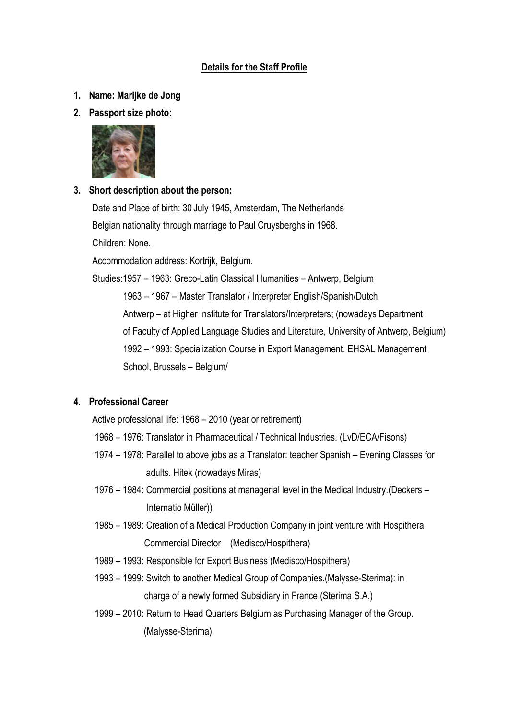### **Details for the Staff Profile**

- **1. Name: Marijke de Jong**
- **2. Passport size photo:**



# **3. Short description about the person:**

Date and Place of birth: 30 July 1945, Amsterdam, The Netherlands Belgian nationality through marriage to Paul Cruysberghs in 1968. Children: None. Accommodation address: Kortrijk, Belgium. Studies:1957 – 1963: Greco-Latin Classical Humanities – Antwerp, Belgium 1963 – 1967 – Master Translator / Interpreter English/Spanish/Dutch Antwerp – at Higher Institute for Translators/Interpreters; (nowadays Department of Faculty of Applied Language Studies and Literature, University of Antwerp, Belgium) 1992 – 1993: Specialization Course in Export Management. EHSAL Management School, Brussels – Belgium/

# **4. Professional Career**

Active professional life: 1968 – 2010 (year or retirement)

- 1968 1976: Translator in Pharmaceutical / Technical Industries. (LvD/ECA/Fisons)
- 1974 1978: Parallel to above jobs as a Translator: teacher Spanish Evening Classes for adults. Hitek (nowadays Miras)
- 1976 1984: Commercial positions at managerial level in the Medical Industry.(Deckers Internatio Müller))
- 1985 1989: Creation of a Medical Production Company in joint venture with Hospithera Commercial Director (Medisco/Hospithera)
- 1989 1993: Responsible for Export Business (Medisco/Hospithera)
- 1993 1999: Switch to another Medical Group of Companies.(Malysse-Sterima): in charge of a newly formed Subsidiary in France (Sterima S.A.)
- 1999 2010: Return to Head Quarters Belgium as Purchasing Manager of the Group. (Malysse-Sterima)